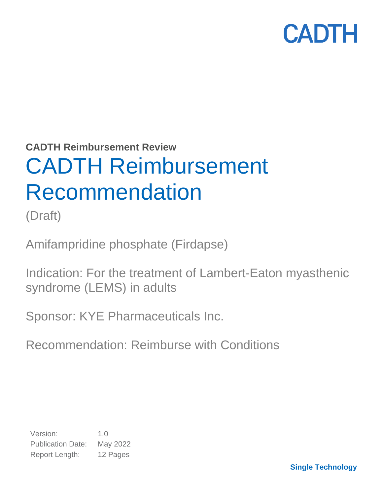**CADTH Reimbursement Review**

# CADTH Reimbursement Recommendation

(Draft)

Amifampridine phosphate (Firdapse)

Indication: For the treatment of Lambert-Eaton myasthenic syndrome (LEMS) in adults

Sponsor: KYE Pharmaceuticals Inc.

Recommendation: Reimburse with Conditions

Version: 1.0 Publication Date: May 2022 Report Length: 12 Pages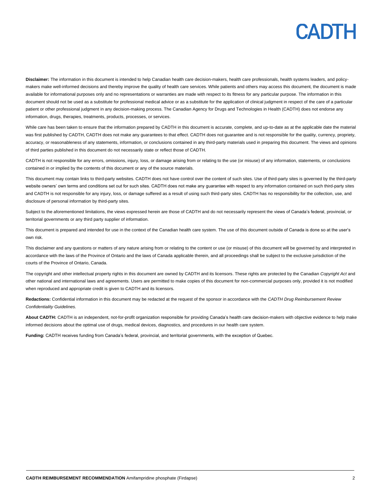**Disclaimer:** The information in this document is intended to help Canadian health care decision-makers, health care professionals, health systems leaders, and policymakers make well-informed decisions and thereby improve the quality of health care services. While patients and others may access this document, the document is made available for informational purposes only and no representations or warranties are made with respect to its fitness for any particular purpose. The information in this document should not be used as a substitute for professional medical advice or as a substitute for the application of clinical judgment in respect of the care of a particular patient or other professional judgment in any decision-making process. The Canadian Agency for Drugs and Technologies in Health (CADTH) does not endorse any information, drugs, therapies, treatments, products, processes, or services.

While care has been taken to ensure that the information prepared by CADTH in this document is accurate, complete, and up-to-date as at the applicable date the material was first published by CADTH, CADTH does not make any guarantees to that effect. CADTH does not guarantee and is not responsible for the quality, currency, propriety, accuracy, or reasonableness of any statements, information, or conclusions contained in any third-party materials used in preparing this document. The views and opinions of third parties published in this document do not necessarily state or reflect those of CADTH.

CADTH is not responsible for any errors, omissions, injury, loss, or damage arising from or relating to the use (or misuse) of any information, statements, or conclusions contained in or implied by the contents of this document or any of the source materials.

This document may contain links to third-party websites. CADTH does not have control over the content of such sites. Use of third-party sites is governed by the third-party website owners' own terms and conditions set out for such sites. CADTH does not make any guarantee with respect to any information contained on such third-party sites and CADTH is not responsible for any injury, loss, or damage suffered as a result of using such third-party sites. CADTH has no responsibility for the collection, use, and disclosure of personal information by third-party sites.

Subject to the aforementioned limitations, the views expressed herein are those of CADTH and do not necessarily represent the views of Canada's federal, provincial, or territorial governments or any third party supplier of information.

This document is prepared and intended for use in the context of the Canadian health care system. The use of this document outside of Canada is done so at the user's own risk.

This disclaimer and any questions or matters of any nature arising from or relating to the content or use (or misuse) of this document will be governed by and interpreted in accordance with the laws of the Province of Ontario and the laws of Canada applicable therein, and all proceedings shall be subject to the exclusive jurisdiction of the courts of the Province of Ontario, Canada.

The copyright and other intellectual property rights in this document are owned by CADTH and its licensors. These rights are protected by the Canadian *Copyright Act* and other national and international laws and agreements. Users are permitted to make copies of this document for non-commercial purposes only, provided it is not modified when reproduced and appropriate credit is given to CADTH and its licensors.

**Redactions:** Confidential information in this document may be redacted at the request of the sponsor in accordance with the *CADTH Drug Reimbursement Review Confidentiality Guidelines.*

**About CADTH:** CADTH is an independent, not-for-profit organization responsible for providing Canada's health care decision-makers with objective evidence to help make informed decisions about the optimal use of drugs, medical devices, diagnostics, and procedures in our health care system.

**Funding:** CADTH receives funding from Canada's federal, provincial, and territorial governments, with the exception of Quebec.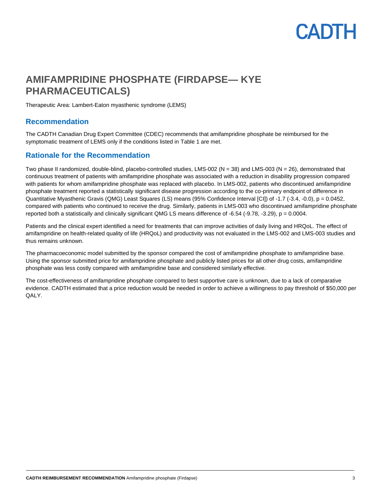### **AMIFAMPRIDINE PHOSPHATE (FIRDAPSE— KYE PHARMACEUTICALS)**

Therapeutic Area: Lambert-Eaton myasthenic syndrome (LEMS)

### **Recommendation**

The CADTH Canadian Drug Expert Committee (CDEC) recommends that amifampridine phosphate be reimbursed for the symptomatic treatment of LEMS only if the conditions listed i[n Table 1](#page-3-0) are met.

### **Rationale for the Recommendation**

Two phase II randomized, double-blind, placebo-controlled studies, LMS-002 (N = 38) and LMS-003 (N = 26), demonstrated that continuous treatment of patients with amifampridine phosphate was associated with a reduction in disability progression compared with patients for whom amifampridine phosphate was replaced with placebo. In LMS-002, patients who discontinued amifampridine phosphate treatment reported a statistically significant disease progression according to the co-primary endpoint of difference in Quantitative Myasthenic Gravis (QMG) Least Squares (LS) means (95% Confidence Interval [CI]) of -1.7 (-3.4, -0.0), p = 0.0452, compared with patients who continued to receive the drug. Similarly, patients in LMS-003 who discontinued amifampridine phosphate reported both a statistically and clinically significant QMG LS means difference of -6.54 (-9.78, -3.29), p = 0.0004.

Patients and the clinical expert identified a need for treatments that can improve activities of daily living and HRQoL. The effect of amifampridine on health-related quality of life (HRQoL) and productivity was not evaluated in the LMS-002 and LMS-003 studies and thus remains unknown.

The pharmacoeconomic model submitted by the sponsor compared the cost of amifampridine phosphate to amifampridine base. Using the sponsor submitted price for amifampridine phosphate and publicly listed prices for all other drug costs, amifampridine phosphate was less costly compared with amifampridine base and considered similarly effective.

The cost-effectiveness of amifampridine phosphate compared to best supportive care is unknown, due to a lack of comparative evidence. CADTH estimated that a price reduction would be needed in order to achieve a willingness to pay threshold of \$50,000 per QALY.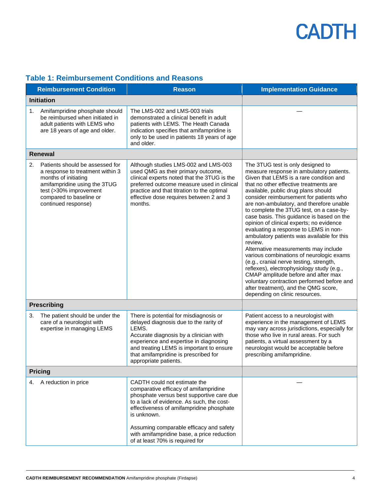|    | <b>Reimbursement Condition</b>                                                                                                                                                                          | <b>Reason</b>                                                                                                                                                                                                                                                                                                                                          | <b>Implementation Guidance</b>                                                                                                                                                                                                                                                                                                                                                                                                                                                                                                                                                                                                                                                                                                                                                                                                                                                     |
|----|---------------------------------------------------------------------------------------------------------------------------------------------------------------------------------------------------------|--------------------------------------------------------------------------------------------------------------------------------------------------------------------------------------------------------------------------------------------------------------------------------------------------------------------------------------------------------|------------------------------------------------------------------------------------------------------------------------------------------------------------------------------------------------------------------------------------------------------------------------------------------------------------------------------------------------------------------------------------------------------------------------------------------------------------------------------------------------------------------------------------------------------------------------------------------------------------------------------------------------------------------------------------------------------------------------------------------------------------------------------------------------------------------------------------------------------------------------------------|
|    | <b>Initiation</b>                                                                                                                                                                                       |                                                                                                                                                                                                                                                                                                                                                        |                                                                                                                                                                                                                                                                                                                                                                                                                                                                                                                                                                                                                                                                                                                                                                                                                                                                                    |
| 1. | Amifampridine phosphate should<br>be reimbursed when initiated in<br>adult patients with LEMS who<br>are 18 years of age and older.                                                                     | The LMS-002 and LMS-003 trials<br>demonstrated a clinical benefit in adult<br>patients with LEMS. The Heath Canada<br>indication specifies that amifampridine is<br>only to be used in patients 18 years of age<br>and older.                                                                                                                          |                                                                                                                                                                                                                                                                                                                                                                                                                                                                                                                                                                                                                                                                                                                                                                                                                                                                                    |
|    | <b>Renewal</b>                                                                                                                                                                                          |                                                                                                                                                                                                                                                                                                                                                        |                                                                                                                                                                                                                                                                                                                                                                                                                                                                                                                                                                                                                                                                                                                                                                                                                                                                                    |
| 2. | Patients should be assessed for<br>a response to treatment within 3<br>months of initiating<br>amifampridine using the 3TUG<br>test (>30% improvement<br>compared to baseline or<br>continued response) | Although studies LMS-002 and LMS-003<br>used QMG as their primary outcome,<br>clinical experts noted that the 3TUG is the<br>preferred outcome measure used in clinical<br>practice and that titration to the optimal<br>effective dose requires between 2 and 3<br>months.                                                                            | The 3TUG test is only designed to<br>measure response in ambulatory patients.<br>Given that LEMS is a rare condition and<br>that no other effective treatments are<br>available, public drug plans should<br>consider reimbursement for patients who<br>are non-ambulatory, and therefore unable<br>to complete the 3TUG test, on a case-by-<br>case basis. This guidance is based on the<br>opinion of clinical experts; no evidence<br>evaluating a response to LEMS in non-<br>ambulatory patients was available for this<br>review.<br>Alternative measurements may include<br>various combinations of neurologic exams<br>(e.g., cranial nerve testing, strength,<br>reflexes), electrophysiology study (e.g.,<br>CMAP amplitude before and after max<br>voluntary contraction performed before and<br>after treatment), and the QMG score,<br>depending on clinic resources. |
|    | <b>Prescribing</b>                                                                                                                                                                                      |                                                                                                                                                                                                                                                                                                                                                        |                                                                                                                                                                                                                                                                                                                                                                                                                                                                                                                                                                                                                                                                                                                                                                                                                                                                                    |
| 3. | The patient should be under the<br>care of a neurologist with<br>expertise in managing LEMS                                                                                                             | There is potential for misdiagnosis or<br>delayed diagnosis due to the rarity of<br>LEMS.<br>Accurate diagnosis by a clinician with<br>experience and expertise in diagnosing<br>and treating LEMS is important to ensure<br>that amifampridine is prescribed for<br>appropriate patients.                                                             | Patient access to a neurologist with<br>experience in the management of LEMS<br>may vary across jurisdictions, especially for<br>those who live in rural areas. For such<br>patients, a virtual assessment by a<br>neurologist would be acceptable before<br>prescribing amifampridine.                                                                                                                                                                                                                                                                                                                                                                                                                                                                                                                                                                                            |
|    | <b>Pricing</b>                                                                                                                                                                                          |                                                                                                                                                                                                                                                                                                                                                        |                                                                                                                                                                                                                                                                                                                                                                                                                                                                                                                                                                                                                                                                                                                                                                                                                                                                                    |
| 4. | A reduction in price                                                                                                                                                                                    | CADTH could not estimate the<br>comparative efficacy of amifampridine<br>phosphate versus best supportive care due<br>to a lack of evidence. As such, the cost-<br>effectiveness of amifampridine phosphate<br>is unknown.<br>Assuming comparable efficacy and safety<br>with amifampridine base, a price reduction<br>of at least 70% is required for |                                                                                                                                                                                                                                                                                                                                                                                                                                                                                                                                                                                                                                                                                                                                                                                                                                                                                    |

### <span id="page-3-0"></span>**Table 1: Reimbursement Conditions and Reasons**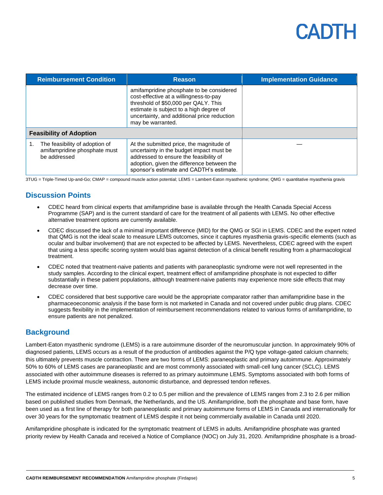| <b>Reimbursement Condition</b>                                                 | <b>Reason</b>                                                                                                                                                                                                                             | <b>Implementation Guidance</b> |
|--------------------------------------------------------------------------------|-------------------------------------------------------------------------------------------------------------------------------------------------------------------------------------------------------------------------------------------|--------------------------------|
|                                                                                | amifampridine phosphate to be considered<br>cost-effective at a willingness-to-pay<br>threshold of \$50,000 per QALY. This<br>estimate is subject to a high degree of<br>uncertainty, and additional price reduction<br>may be warranted. |                                |
| <b>Feasibility of Adoption</b>                                                 |                                                                                                                                                                                                                                           |                                |
| The feasibility of adoption of<br>amifampridine phosphate must<br>be addressed | At the submitted price, the magnitude of<br>uncertainty in the budget impact must be<br>addressed to ensure the feasibility of<br>adoption, given the difference between the<br>sponsor's estimate and CADTH's estimate.                  |                                |

3TUG = Triple-Timed Up-and-Go; CMAP = compound muscle action potential; LEMS = Lambert-Eaton myasthenic syndrome; QMG = quantitative myasthenia gravis

### **Discussion Points**

- CDEC heard from clinical experts that amifampridine base is available through the Health Canada Special Access Programme (SAP) and is the current standard of care for the treatment of all patients with LEMS. No other effective alternative treatment options are currently available.
- CDEC discussed the lack of a minimal important difference (MID) for the QMG or SGI in LEMS. CDEC and the expert noted that QMG is not the ideal scale to measure LEMS outcomes, since it captures myasthenia gravis-specific elements (such as ocular and bulbar involvement) that are not expected to be affected by LEMS. Nevertheless, CDEC agreed with the expert that using a less specific scoring system would bias against detection of a clinical benefit resulting from a pharmacological treatment.
- CDEC noted that treatment-naive patients and patients with paraneoplastic syndrome were not well represented in the study samples. According to the clinical expert, treatment effect of amifampridine phosphate is not expected to differ substantially in these patient populations, although treatment-naive patients may experience more side effects that may decrease over time.
- CDEC considered that best supportive care would be the appropriate comparator rather than amifampridine base in the pharmaceoeconomic analysis if the base form is not marketed in Canada and not covered under public drug plans. CDEC suggests flexibility in the implementation of reimbursement recommendations related to various forms of amifampridine, to ensure patients are not penalized.

### **Background**

Lambert-Eaton myasthenic syndrome (LEMS) is a rare autoimmune disorder of the neuromuscular junction. In approximately 90% of diagnosed patients, LEMS occurs as a result of the production of antibodies against the P/Q type voltage-gated calcium channels; this ultimately prevents muscle contraction. There are two forms of LEMS: paraneoplastic and primary autoimmune. Approximately 50% to 60% of LEMS cases are paraneoplastic and are most commonly associated with small-cell lung cancer (SCLC). LEMS associated with other autoimmune diseases is referred to as primary autoimmune LEMS. Symptoms associated with both forms of LEMS include proximal muscle weakness, autonomic disturbance, and depressed tendon reflexes.

The estimated incidence of LEMS ranges from 0.2 to 0.5 per million and the prevalence of LEMS ranges from 2.3 to 2.6 per million based on published studies from Denmark, the Netherlands, and the US. Amifampridine, both the phosphate and base form, have been used as a first line of therapy for both paraneoplastic and primary autoimmune forms of LEMS in Canada and internationally for over 30 years for the symptomatic treatment of LEMS despite it not being commercially available in Canada until 2020.

Amifampridine phosphate is indicated for the symptomatic treatment of LEMS in adults. Amifampridine phosphate was granted priority review by Health Canada and received a Notice of Compliance (NOC) on July 31, 2020. Amifampridine phosphate is a broad-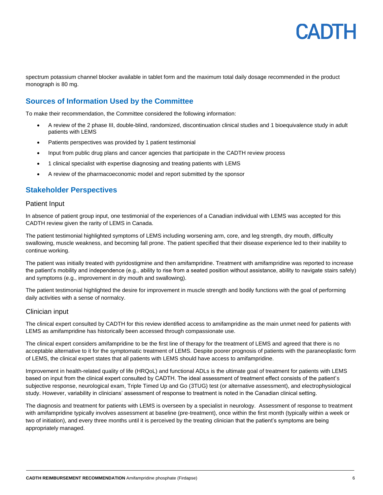

spectrum potassium channel blocker available in tablet form and the maximum total daily dosage recommended in the product monograph is 80 mg.

### **Sources of Information Used by the Committee**

To make their recommendation, the Committee considered the following information:

- A review of the 2 phase III, double-blind, randomized, discontinuation clinical studies and 1 bioequivalence study in adult patients with LEMS
- Patients perspectives was provided by 1 patient testimonial
- Input from public drug plans and cancer agencies that participate in the CADTH review process
- 1 clinical specialist with expertise diagnosing and treating patients with LEMS
- A review of the pharmacoeconomic model and report submitted by the sponsor

#### **Stakeholder Perspectives**

#### Patient Input

In absence of patient group input, one testimonial of the experiences of a Canadian individual with LEMS was accepted for this CADTH review given the rarity of LEMS in Canada.

The patient testimonial highlighted symptoms of LEMS including worsening arm, core, and leg strength, dry mouth, difficulty swallowing, muscle weakness, and becoming fall prone. The patient specified that their disease experience led to their inability to continue working.

The patient was initially treated with pyridostigmine and then amifampridine. Treatment with amifampridine was reported to increase the patient's mobility and independence (e.g., ability to rise from a seated position without assistance, ability to navigate stairs safely) and symptoms (e.g., improvement in dry mouth and swallowing).

The patient testimonial highlighted the desire for improvement in muscle strength and bodily functions with the goal of performing daily activities with a sense of normalcy.

#### Clinician input

The clinical expert consulted by CADTH for this review identified access to amifampridine as the main unmet need for patients with LEMS as amifampridine has historically been accessed through compassionate use.

The clinical expert considers amifampridine to be the first line of therapy for the treatment of LEMS and agreed that there is no acceptable alternative to it for the symptomatic treatment of LEMS. Despite poorer prognosis of patients with the paraneoplastic form of LEMS, the clinical expert states that all patients with LEMS should have access to amifampridine.

Improvement in health-related quality of life (HRQoL) and functional ADLs is the ultimate goal of treatment for patients with LEMS based on input from the clinical expert consulted by CADTH. The ideal assessment of treatment effect consists of the patient's subjective response, neurological exam, Triple Timed Up and Go (3TUG) test (or alternative assessment), and electrophysiological study. However, variability in clinicians' assessment of response to treatment is noted in the Canadian clinical setting.

The diagnosis and treatment for patients with LEMS is overseen by a specialist in neurology. Assessment of response to treatment with amifampridine typically involves assessment at baseline (pre-treatment), once within the first month (typically within a week or two of initiation), and every three months until it is perceived by the treating clinician that the patient's symptoms are being appropriately managed.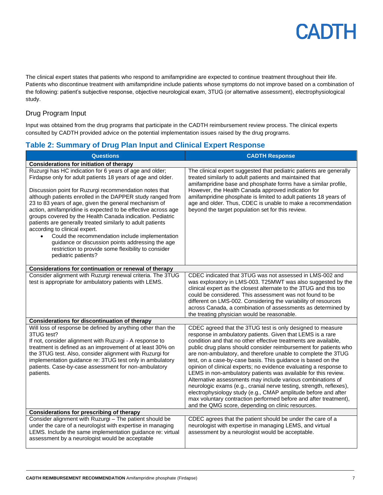The clinical expert states that patients who respond to amifampridine are expected to continue treatment throughout their life. Patients who discontinue treatment with amifampridine include patients whose symptoms do not improve based on a combination of the following: patient's subjective response, objective neurological exam, 3TUG (or alternative assessment), electrophysiological study.

### Drug Program Input

Input was obtained from the drug programs that participate in the CADTH reimbursement review process. The clinical experts consulted by CADTH provided advice on the potential implementation issues raised by the drug programs.

### **Table 2: Summary of Drug Plan Input and Clinical Expert Response**

| <b>Questions</b>                                                                                                                                                                                                                                                                                                                                                                                                                                                                                                                                                                                                                                                                                                                      | <b>CADTH Response</b>                                                                                                                                                                                                                                                                                                                                                                                                                                                                                                                                                                                                                                                                                                                                                                                                                                                    |
|---------------------------------------------------------------------------------------------------------------------------------------------------------------------------------------------------------------------------------------------------------------------------------------------------------------------------------------------------------------------------------------------------------------------------------------------------------------------------------------------------------------------------------------------------------------------------------------------------------------------------------------------------------------------------------------------------------------------------------------|--------------------------------------------------------------------------------------------------------------------------------------------------------------------------------------------------------------------------------------------------------------------------------------------------------------------------------------------------------------------------------------------------------------------------------------------------------------------------------------------------------------------------------------------------------------------------------------------------------------------------------------------------------------------------------------------------------------------------------------------------------------------------------------------------------------------------------------------------------------------------|
| <b>Considerations for initiation of therapy</b>                                                                                                                                                                                                                                                                                                                                                                                                                                                                                                                                                                                                                                                                                       |                                                                                                                                                                                                                                                                                                                                                                                                                                                                                                                                                                                                                                                                                                                                                                                                                                                                          |
| Ruzurgi has HC indication for 6 years of age and older;<br>Firdapse only for adult patients 18 years of age and older.<br>Discussion point for Ruzurgi recommendation notes that<br>although patients enrolled in the DAPPER study ranged from<br>23 to 83 years of age, given the general mechanism of<br>action, amifampridine is expected to be effective across age<br>groups covered by the Health Canada indication. Pediatric<br>patients are generally treated similarly to adult patients<br>according to clinical expert.<br>Could the recommendation include implementation<br>$\bullet$<br>guidance or discussion points addressing the age<br>restriction to provide some flexibility to consider<br>pediatric patients? | The clinical expert suggested that pediatric patients are generally<br>treated similarly to adult patients and maintained that<br>amifampridine base and phosphate forms have a similar profile,<br>However, the Health Canada approved indication for<br>amifampridine phosphate is limited to adult patients 18 years of<br>age and older. Thus, CDEC is unable to make a recommendation<br>beyond the target population set for this review.                                                                                                                                                                                                                                                                                                                                                                                                                          |
| Considerations for continuation or renewal of therapy                                                                                                                                                                                                                                                                                                                                                                                                                                                                                                                                                                                                                                                                                 |                                                                                                                                                                                                                                                                                                                                                                                                                                                                                                                                                                                                                                                                                                                                                                                                                                                                          |
| Consider alignment with Ruzurgi renewal criteria. The 3TUG<br>test is appropriate for ambulatory patients with LEMS.                                                                                                                                                                                                                                                                                                                                                                                                                                                                                                                                                                                                                  | CDEC indicated that 3TUG was not assessed in LMS-002 and<br>was exploratory in LMS-003. T25MWT was also suggested by the<br>clinical expert as the closest alternate to the 3TUG and this too<br>could be considered. This assessment was not found to be<br>different on LMS-002. Considering the variability of resources<br>across Canada, a combination of assessments as determined by<br>the treating physician would be reasonable.                                                                                                                                                                                                                                                                                                                                                                                                                               |
| <b>Considerations for discontinuation of therapy</b>                                                                                                                                                                                                                                                                                                                                                                                                                                                                                                                                                                                                                                                                                  |                                                                                                                                                                                                                                                                                                                                                                                                                                                                                                                                                                                                                                                                                                                                                                                                                                                                          |
| Will loss of response be defined by anything other than the<br>3TUG test?<br>If not, consider alignment with Ruzurgi - A response to<br>treatment is defined as an improvement of at least 30% on<br>the 3TUG test. Also, consider alignment with Ruzurgi for<br>implementation guidance re: 3TUG test only in ambulatory<br>patients. Case-by-case assessment for non-ambulatory<br>patients.                                                                                                                                                                                                                                                                                                                                        | CDEC agreed that the 3TUG test is only designed to measure<br>response in ambulatory patients. Given that LEMS is a rare<br>condition and that no other effective treatments are available,<br>public drug plans should consider reimbursement for patients who<br>are non-ambulatory, and therefore unable to complete the 3TUG<br>test, on a case-by-case basis. This guidance is based on the<br>opinion of clinical experts; no evidence evaluating a response to<br>LEMS in non-ambulatory patients was available for this review.<br>Alternative assessments may include various combinations of<br>neurologic exams (e.g., cranial nerve testing, strength, reflexes),<br>electrophysiology study (e.g., CMAP amplitude before and after<br>max voluntary contraction performed before and after treatment),<br>and the QMG score, depending on clinic resources. |
| <b>Considerations for prescribing of therapy</b>                                                                                                                                                                                                                                                                                                                                                                                                                                                                                                                                                                                                                                                                                      |                                                                                                                                                                                                                                                                                                                                                                                                                                                                                                                                                                                                                                                                                                                                                                                                                                                                          |
| Consider alignment with Ruzurgi - The patient should be<br>under the care of a neurologist with expertise in managing<br>LEMS. Include the same implementation guidance re: virtual<br>assessment by a neurologist would be acceptable                                                                                                                                                                                                                                                                                                                                                                                                                                                                                                | CDEC agrees that the patient should be under the care of a<br>neurologist with expertise in managing LEMS, and virtual<br>assessment by a neurologist would be acceptable.                                                                                                                                                                                                                                                                                                                                                                                                                                                                                                                                                                                                                                                                                               |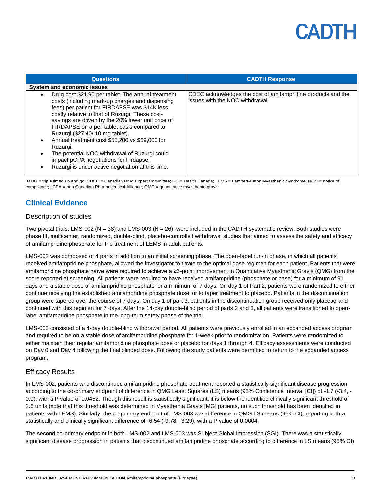| <b>Questions</b>                                                                                                                                                                                                                                                                                                                                                                                                                                                                                                                                                                                  | <b>CADTH Response</b>                                                                           |
|---------------------------------------------------------------------------------------------------------------------------------------------------------------------------------------------------------------------------------------------------------------------------------------------------------------------------------------------------------------------------------------------------------------------------------------------------------------------------------------------------------------------------------------------------------------------------------------------------|-------------------------------------------------------------------------------------------------|
| <b>System and economic issues</b>                                                                                                                                                                                                                                                                                                                                                                                                                                                                                                                                                                 |                                                                                                 |
| Drug cost \$21.90 per tablet. The annual treatment<br>$\bullet$<br>costs (including mark-up charges and dispensing<br>fees) per patient for FIRDAPSE was \$14K less<br>costly relative to that of Ruzurgi. These cost-<br>savings are driven by the 20% lower unit price of<br>FIRDAPSE on a per-tablet basis compared to<br>Ruzurgi (\$27.40/10 mg tablet).<br>Annual treatment cost \$55,200 vs \$69,000 for<br>$\bullet$<br>Ruzurgi.<br>The potential NOC withdrawal of Ruzurgi could<br>٠<br>impact pCPA negotiations for Firdapse.<br>Ruzurgi is under active negotiation at this time.<br>٠ | CDEC acknowledges the cost of amifampridine products and the<br>issues with the NOC withdrawal. |

3TUG = triple timed up and go; CDEC = Canadian Drug Expert Committee; HC = Health Canada; LEMS = Lambert-Eaton Myasthenic Syndrome; NOC = notice of compliance; pCPA = pan Canadian Pharmaceutical Alliance; QMG = quantitative myasthenia gravis

### **Clinical Evidence**

#### Description of studies

Two pivotal trials, LMS-002 (N = 38) and LMS-003 (N = 26), were included in the CADTH systematic review. Both studies were phase III, multicenter, randomized, double-blind, placebo-controlled withdrawal studies that aimed to assess the safety and efficacy of amifampridine phosphate for the treatment of LEMS in adult patients.

LMS-002 was composed of 4 parts in addition to an initial screening phase. The open-label run-in phase, in which all patients received amifampridine phosphate, allowed the investigator to titrate to the optimal dose regimen for each patient. Patients that were amifampridine phosphate naïve were required to achieve a ≥3-point improvement in Quantitative Myasthenic Gravis (QMG) from the score reported at screening. All patients were required to have received amifampridine (phosphate or base) for a minimum of 91 days and a stable dose of amifampridine phosphate for a minimum of 7 days. On day 1 of Part 2, patients were randomized to either continue receiving the established amifampridine phosphate dose, or to taper treatment to placebo. Patients in the discontinuation group were tapered over the course of 7 days. On day 1 of part 3, patients in the discontinuation group received only placebo and continued with this regimen for 7 days. After the 14-day double-blind period of parts 2 and 3, all patients were transitioned to openlabel amifampridine phosphate in the long-term safety phase of the trial.

LMS-003 consisted of a 4-day double-blind withdrawal period. All patients were previously enrolled in an expanded access program and required to be on a stable dose of amifampridine phosphate for 1-week prior to randomization. Patients were randomized to either maintain their regular amifampridine phosphate dose or placebo for days 1 through 4. Efficacy assessments were conducted on Day 0 and Day 4 following the final blinded dose. Following the study patients were permitted to return to the expanded access program.

#### Efficacy Results

In LMS-002, patients who discontinued amifampridine phosphate treatment reported a statistically significant disease progression according to the co-primary endpoint of difference in QMG Least Squares (LS) means (95% Confidence Interval [CI]) of -1.7 (-3.4, - 0.0), with a P value of 0.0452. Though this result is statistically significant, it is below the identified clinically significant threshold of 2.6 units (note that this threshold was determined in Myasthenia Gravis [MG] patients, no such threshold has been identified in patients with LEMS). Similarly, the co-primary endpoint of LMS-003 was difference in QMG LS means (95% CI), reporting both a statistically and clinically significant difference of -6.54 (-9.78, -3.29), with a P value of 0.0004.

The second co-primary endpoint in both LMS-002 and LMS-003 was Subject Global Impression (SGI). There was a statistically significant disease progression in patients that discontinued amifampridine phosphate according to difference in LS means (95% CI)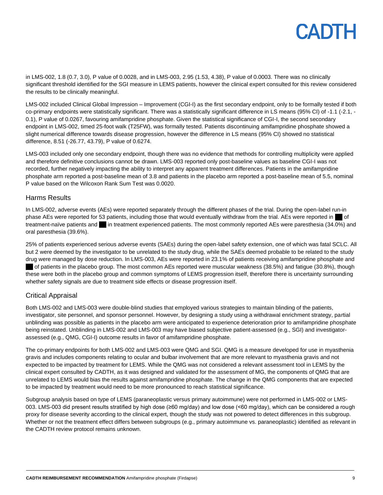in LMS-002, 1.8 (0.7, 3.0), P value of 0.0028, and in LMS-003, 2.95 (1.53, 4.38), P value of 0.0003. There was no clinically significant threshold identified for the SGI measure in LEMS patients, however the clinical expert consulted for this review considered the results to be clinically meaningful.

LMS-002 included Clinical Global Impression – Improvement (CGI-I) as the first secondary endpoint, only to be formally tested if both co-primary endpoints were statistically significant. There was a statistically significant difference in LS means (95% CI) of -1.1 (-2.1, - 0.1), P value of 0.0267, favouring amifampridine phosphate. Given the statistical significance of CGI-I, the second secondary endpoint in LMS-002, timed 25-foot walk (T25FW), was formally tested. Patients discontinuing amifampridine phosphate showed a slight numerical difference towards disease progression, however the difference in LS means (95% CI) showed no statistical difference, 8.51 (-26.77, 43.79), P value of 0.6274.

LMS-003 included only one secondary endpoint, though there was no evidence that methods for controlling multiplicity were applied and therefore definitive conclusions cannot be drawn. LMS-003 reported only post-baseline values as baseline CGI-I was not recorded, further negatively impacting the ability to interpret any apparent treatment differences. Patients in the amifampridine phosphate arm reported a post-baseline mean of 3.8 and patients in the placebo arm reported a post-baseline mean of 5.5, nominal P value based on the Wilcoxon Rank Sum Test was 0.0020.

#### Harms Results

In LMS-002, adverse events (AEs) were reported separately through the different phases of the trial. During the open-label run-in phase AEs were reported for 53 patients, including those that would eventually withdraw from the trial. AEs were reported in of treatment-naïve patients and in treatment experienced patients. The most commonly reported AEs were paresthesia (34.0%) and oral paresthesia (39.6%).

25% of patients experienced serious adverse events (SAEs) during the open-label safety extension, one of which was fatal SCLC. All but 2 were deemed by the investigator to be unrelated to the study drug, while the SAEs deemed probable to be related to the study drug were managed by dose reduction. In LMS-003, AEs were reported in 23.1% of patients receiving amifampridine phosphate and of patients in the placebo group. The most common AEs reported were muscular weakness (38.5%) and fatigue (30.8%), though these were both in the placebo group and common symptoms of LEMS progression itself, therefore there is uncertainty surrounding whether safety signals are due to treatment side effects or disease progression itself.

### Critical Appraisal

Both LMS-002 and LMS-003 were double-blind studies that employed various strategies to maintain blinding of the patients, investigator, site personnel, and sponsor personnel. However, by designing a study using a withdrawal enrichment strategy, partial unblinding was possible as patients in the placebo arm were anticipated to experience deterioration prior to amifampridine phosphate being reinstated. Unblinding in LMS-002 and LMS-003 may have biased subjective patient-assessed (e.g., SGI) and investigatorassessed (e.g., QMG, CGI-I) outcome results in favor of amifampridine phosphate.

The co-primary endpoints for both LMS-002 and LMS-003 were QMG and SGI. QMG is a measure developed for use in myasthenia gravis and includes components relating to ocular and bulbar involvement that are more relevant to myasthenia gravis and not expected to be impacted by treatment for LEMS. While the QMG was not considered a relevant assessment tool in LEMS by the clinical expert consulted by CADTH, as it was designed and validated for the assessment of MG, the components of QMG that are unrelated to LEMS would bias the results against amifampridine phosphate. The change in the QMG components that are expected to be impacted by treatment would need to be more pronounced to reach statistical significance.

Subgroup analysis based on type of LEMS (paraneoplastic versus primary autoimmune) were not performed in LMS-002 or LMS-003. LMS-003 did present results stratified by high dose (≥60 mg/day) and low dose (<60 mg/day), which can be considered a rough proxy for disease severity according to the clinical expert, though the study was not powered to detect differences in this subgroup. Whether or not the treatment effect differs between subgroups (e.g., primary autoimmune vs. paraneoplastic) identified as relevant in the CADTH review protocol remains unknown.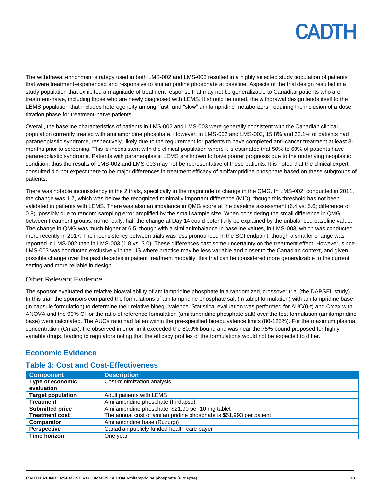The withdrawal enrichment strategy used in both LMS-002 and LMS-003 resulted in a highly selected study population of patients that were treatment-experienced and responsive to amifampridine phosphate at baseline. Aspects of the trial design resulted in a study population that exhibited a magnitude of treatment response that may not be generalizable to Canadian patients who are treatment-naive, including those who are newly diagnosed with LEMS. It should be noted, the withdrawal design lends itself to the LEMS population that includes heterogeneity among "fast" and "slow" amifampridine metabolizers, requiring the inclusion of a dose titration phase for treatment-naïve patients.

Overall, the baseline characteristics of patients in LMS-002 and LMS-003 were generally consistent with the Canadian clinical population currently treated with amifampridine phosphate. However, in LMS-002 and LMS-003, 15.8% and 23.1% of patients had paraneoplastic syndrome, respectively, likely due to the requirement for patients to have completed anti-cancer treatment at least 3 months prior to screening. This is inconsistent with the clinical population where it is estimated that 50% to 60% of patients have paraneoplastic syndrome. Patients with paraneoplastic LEMS are known to have poorer prognosis due to the underlying neoplastic condition, thus the results of LMS-002 and LMS-003 may not be representative of these patients. It is noted that the clinical expert consulted did not expect there to be major differences in treatment efficacy of amifampridine phosphate based on these subgroups of patients.

There was notable inconsistency in the 2 trials, specifically in the magnitude of change in the QMG. In LMS-002, conducted in 2011, the change was 1.7, which was below the recognized minimally important difference (MID), though this threshold has not been validated in patients with LEMS. There was also an imbalance in QMG score at the baseline assessment (6.4 vs. 5.6; difference of 0.8), possibly due to random sampling error amplified by the small sample size. When considering the small difference in QMG between treatment groups, numerically, half the change at Day 14 could potentially be explained by the unbalanced baseline value. The change in QMG was much higher at 6.5, though with a similar imbalance in baseline values, in LMS-003, which was conducted more recently in 2017. The inconsistency between trials was less pronounced in the SGI endpoint, though a smaller change was reported in LMS-002 than in LMS-003 (1.8 vs. 3.0). These differences cast some uncertainty on the treatment effect. However, since LMS-003 was conducted exclusively in the US where practice may be less variable and closer to the Canadian context, and given possible change over the past decades in patient treatment modality, this trial can be considered more generalizable to the current setting and more reliable in design.

#### Other Relevant Evidence

The sponsor evaluated the relative bioavailability of amifampridine phosphate in a randomized, crossover trial (the DAPSEL study). In this trial, the sponsors compared the formulations of amifampridine phosphate salt (in tablet formulation) with amifampridine base (in capsule formulation) to determine their relative bioequivalence. Statistical evaluation was performed for AUC(0-t) and Cmax with ANOVA and the 90% CI for the ratio of reference formulation (amifampridine phosphate salt) over the test formulation (amifampridine base) were calculated. The AUCs ratio had fallen within the pre-specified bioequivalence limits (80-125%). For the maximum plasma concentration (Cmax), the observed inferior limit exceeded the 80.0% bound and was near the 75% bound proposed for highly variable drugs, leading to regulators noting that the efficacy profiles of the formulations would not be expected to differ.

### **Economic Evidence**

| <b>Component</b>               | <b>Description</b>                                                 |
|--------------------------------|--------------------------------------------------------------------|
| Type of economic<br>evaluation | Cost-minimization analysis                                         |
| <b>Target population</b>       | Adult patients with LEMS                                           |
| <b>Treatment</b>               | Amifampridine phosphate (Firdapse)                                 |
| <b>Submitted price</b>         | Amifampridine phosphate: \$21.90 per 10 mg tablet                  |
| <b>Treatment cost</b>          | The annual cost of amifampridine phosphate is \$51,993 per patient |
| Comparator                     | Amifampridine base (Ruzurgi)                                       |
| <b>Perspective</b>             | Canadian publicly funded health care payer                         |
| Time horizon                   | One year                                                           |

### **Table 3: Cost and Cost-Effectiveness**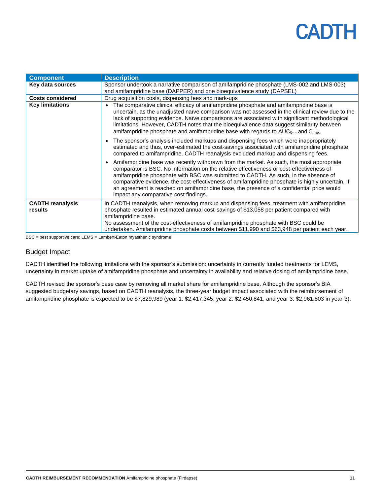| <b>Component</b>                   | <b>Description</b>                                                                                                                                                                                                                                                                                                                                                                                                                                                                                                   |
|------------------------------------|----------------------------------------------------------------------------------------------------------------------------------------------------------------------------------------------------------------------------------------------------------------------------------------------------------------------------------------------------------------------------------------------------------------------------------------------------------------------------------------------------------------------|
| Key data sources                   | Sponsor undertook a narrative comparison of amifampridine phosphate (LMS-002 and LMS-003)<br>and amifampridine base (DAPPER) and one bioequivalence study (DAPSEL)                                                                                                                                                                                                                                                                                                                                                   |
| <b>Costs considered</b>            | Drug acquisition costs, dispensing fees and mark-ups                                                                                                                                                                                                                                                                                                                                                                                                                                                                 |
| <b>Key limitations</b>             | The comparative clinical efficacy of amifampridine phosphate and amifampridine base is<br>uncertain, as the unadjusted naïve comparison was not assessed in the clinical review due to the<br>lack of supporting evidence. Naïve comparisons are associated with significant methodological<br>limitations. However, CADTH notes that the bioequivalence data suggest similarity between<br>amifampridine phosphate and amifampridine base with regards to $AUC_0$ and $C_{max}$ .                                   |
|                                    | The sponsor's analysis included markups and dispensing fees which were inappropriately<br>estimated and thus, over-estimated the cost-savings associated with amifampridine phosphate<br>compared to amifampridine. CADTH reanalysis excluded markup and dispensing fees.                                                                                                                                                                                                                                            |
|                                    | Amifampridine base was recently withdrawn from the market. As such, the most appropriate<br>comparator is BSC. No information on the relative effectiveness or cost-effectiveness of<br>amifampridine phosphate with BSC was submitted to CADTH. As such, in the absence of<br>comparative evidence, the cost-effectiveness of amifampridine phosphate is highly uncertain. If<br>an agreement is reached on amifampridine base, the presence of a confidential price would<br>impact any comparative cost findings. |
| <b>CADTH reanalysis</b><br>results | In CADTH reanalysis, when removing markup and dispensing fees, treatment with amifampridine<br>phosphate resulted in estimated annual cost-savings of \$13,058 per patient compared with<br>amifampridine base.<br>No assessment of the cost-effectiveness of amifampridine phosphate with BSC could be<br>undertaken. Amifampridine phosphate costs between \$11,990 and \$63,948 per patient each year.                                                                                                            |

BSC = best supportive care; LEMS = Lambert-Eaton myasthenic syndrome

### Budget Impact

CADTH identified the following limitations with the sponsor's submission: uncertainty in currently funded treatments for LEMS, uncertainty in market uptake of amifampridine phosphate and uncertainty in availability and relative dosing of amifampridine base.

CADTH revised the sponsor's base case by removing all market share for amifampridine base. Although the sponsor's BIA suggested budgetary savings, based on CADTH reanalysis, the three-year budget impact associated with the reimbursement of amifampridine phosphate is expected to be \$7,829,989 (year 1: \$2,417,345, year 2: \$2,450,841, and year 3: \$2,961,803 in year 3).